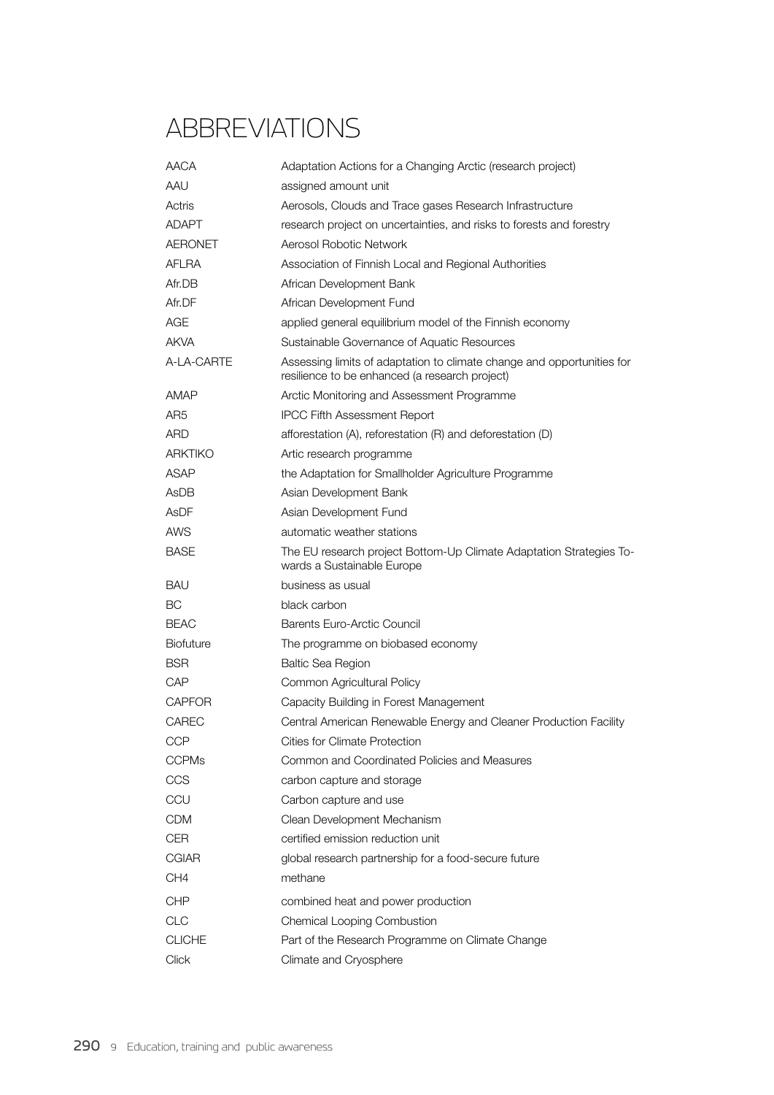## **ABBREVIATIONS**

| <b>AACA</b>      | Adaptation Actions for a Changing Arctic (research project)                                                              |
|------------------|--------------------------------------------------------------------------------------------------------------------------|
| AAU              | assigned amount unit                                                                                                     |
| Actris           | Aerosols, Clouds and Trace gases Research Infrastructure                                                                 |
| ADAPT            | research project on uncertainties, and risks to forests and forestry                                                     |
| <b>AERONET</b>   | Aerosol Robotic Network                                                                                                  |
| AFLRA            | Association of Finnish Local and Regional Authorities                                                                    |
| Afr.DB           | African Development Bank                                                                                                 |
| Afr.DF           | African Development Fund                                                                                                 |
| AGE              | applied general equilibrium model of the Finnish economy                                                                 |
| AKVA             | Sustainable Governance of Aquatic Resources                                                                              |
| A-LA-CARTE       | Assessing limits of adaptation to climate change and opportunities for<br>resilience to be enhanced (a research project) |
| AMAP             | Arctic Monitoring and Assessment Programme                                                                               |
| AR <sub>5</sub>  | <b>IPCC Fifth Assessment Report</b>                                                                                      |
| ARD              | afforestation (A), reforestation (R) and deforestation (D)                                                               |
| <b>ARKTIKO</b>   | Artic research programme                                                                                                 |
| ASAP             | the Adaptation for Smallholder Agriculture Programme                                                                     |
| AsDB             | Asian Development Bank                                                                                                   |
| <b>AsDF</b>      | Asian Development Fund                                                                                                   |
| AWS              | automatic weather stations                                                                                               |
| <b>BASE</b>      | The EU research project Bottom-Up Climate Adaptation Strategies To-<br>wards a Sustainable Europe                        |
| BAU              | business as usual                                                                                                        |
| BС               | black carbon                                                                                                             |
| <b>BEAC</b>      | Barents Euro-Arctic Council                                                                                              |
| <b>Biofuture</b> | The programme on biobased economy                                                                                        |
| BSR              | <b>Baltic Sea Region</b>                                                                                                 |
| CAP              | Common Agricultural Policy                                                                                               |
| <b>CAPFOR</b>    | Capacity Building in Forest Management                                                                                   |
| <b>CAREC</b>     | Central American Renewable Energy and Cleaner Production Facility                                                        |
| <b>CCP</b>       | Cities for Climate Protection                                                                                            |
| <b>CCPMs</b>     | Common and Coordinated Policies and Measures                                                                             |
| CCS              | carbon capture and storage                                                                                               |
| CCU              | Carbon capture and use                                                                                                   |
| <b>CDM</b>       | Clean Development Mechanism                                                                                              |
| <b>CER</b>       | certified emission reduction unit                                                                                        |
| <b>CGIAR</b>     | global research partnership for a food-secure future                                                                     |
| CH <sub>4</sub>  | methane                                                                                                                  |
| <b>CHP</b>       | combined heat and power production                                                                                       |
| <b>CLC</b>       | Chemical Looping Combustion                                                                                              |
| <b>CLICHE</b>    | Part of the Research Programme on Climate Change                                                                         |
| Click            | Climate and Cryosphere                                                                                                   |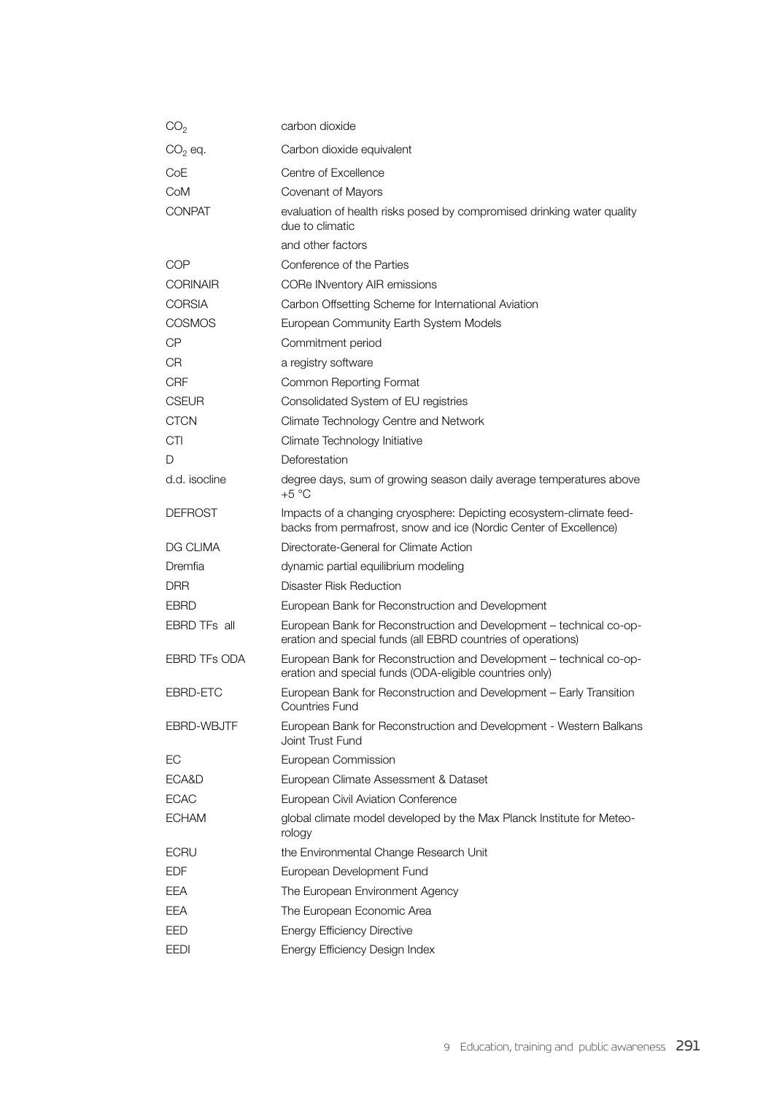| CO <sub>2</sub>     | carbon dioxide                                                                                                                           |
|---------------------|------------------------------------------------------------------------------------------------------------------------------------------|
| $CO2$ eq.           | Carbon dioxide equivalent                                                                                                                |
| CoE                 | Centre of Excellence                                                                                                                     |
| CoM                 | Covenant of Mayors                                                                                                                       |
| <b>CONPAT</b>       | evaluation of health risks posed by compromised drinking water quality<br>due to climatic                                                |
|                     | and other factors                                                                                                                        |
| COP                 | Conference of the Parties                                                                                                                |
| <b>CORINAIR</b>     | <b>CORe INventory AIR emissions</b>                                                                                                      |
| <b>CORSIA</b>       | Carbon Offsetting Scheme for International Aviation                                                                                      |
| <b>COSMOS</b>       | European Community Earth System Models                                                                                                   |
| СP                  | Commitment period                                                                                                                        |
| CR                  | a registry software                                                                                                                      |
| <b>CRF</b>          | Common Reporting Format                                                                                                                  |
| <b>CSEUR</b>        | Consolidated System of EU registries                                                                                                     |
| <b>CTCN</b>         | Climate Technology Centre and Network                                                                                                    |
| <b>CTI</b>          | Climate Technology Initiative                                                                                                            |
| D                   | Deforestation                                                                                                                            |
| d.d. isocline       | degree days, sum of growing season daily average temperatures above<br>$+5 °C$                                                           |
| <b>DEFROST</b>      | Impacts of a changing cryosphere: Depicting ecosystem-climate feed-<br>backs from permafrost, snow and ice (Nordic Center of Excellence) |
| DG CLIMA            | Directorate-General for Climate Action                                                                                                   |
| Dremfia             | dynamic partial equilibrium modeling                                                                                                     |
| DRR                 | Disaster Risk Reduction                                                                                                                  |
| <b>EBRD</b>         | European Bank for Reconstruction and Development                                                                                         |
| EBRD TFs all        | European Bank for Reconstruction and Development - technical co-op-<br>eration and special funds (all EBRD countries of operations)      |
| <b>EBRD TFs ODA</b> | European Bank for Reconstruction and Development - technical co-op-<br>eration and special funds (ODA-eligible countries only)           |
| EBRD-ETC            | European Bank for Reconstruction and Development - Early Transition<br>Countries Fund                                                    |
| EBRD-WBJTF          | European Bank for Reconstruction and Development - Western Balkans<br>Joint Trust Fund                                                   |
| EC                  | European Commission                                                                                                                      |
| ECA&D               | European Climate Assessment & Dataset                                                                                                    |
| <b>ECAC</b>         | European Civil Aviation Conference                                                                                                       |
| <b>ECHAM</b>        | global climate model developed by the Max Planck Institute for Meteo-<br>rology                                                          |
| ECRU                | the Environmental Change Research Unit                                                                                                   |
| EDF                 | European Development Fund                                                                                                                |
| EEA                 | The European Environment Agency                                                                                                          |
| EEA                 | The European Economic Area                                                                                                               |
| EED                 | <b>Energy Efficiency Directive</b>                                                                                                       |
| EEDI                | Energy Efficiency Design Index                                                                                                           |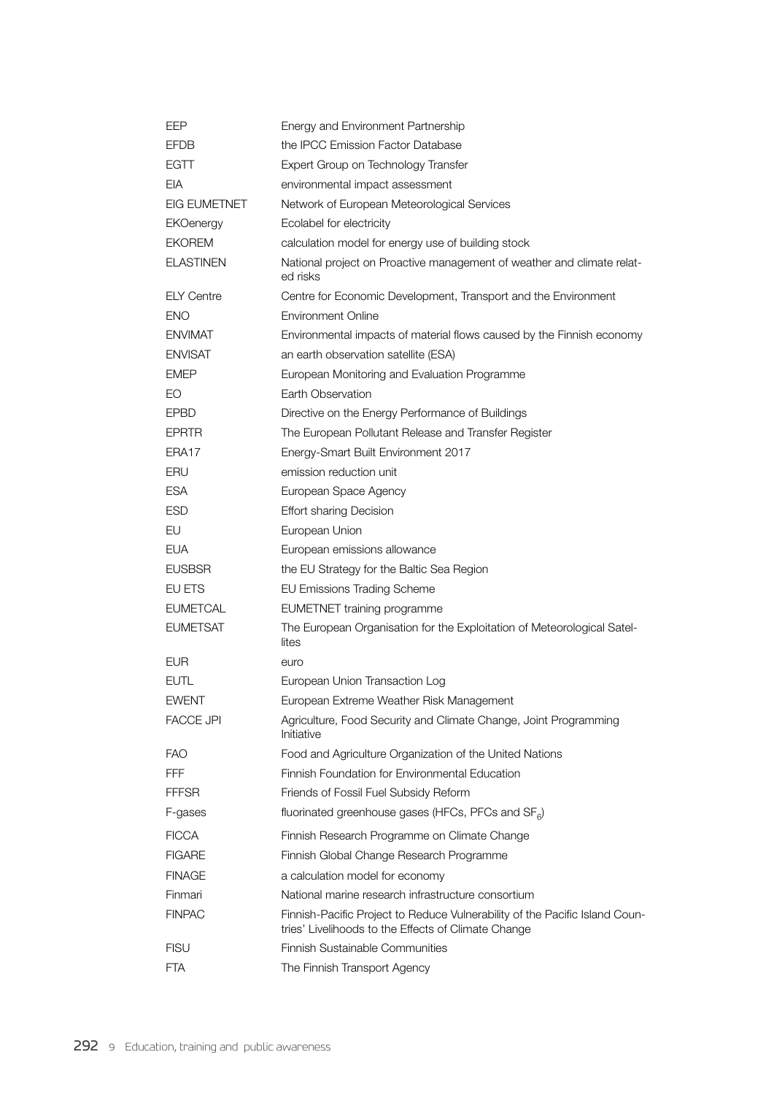| EEP                 | Energy and Environment Partnership                                                                                                 |
|---------------------|------------------------------------------------------------------------------------------------------------------------------------|
| <b>EFDB</b>         | the IPCC Emission Factor Database                                                                                                  |
| EGTT                | Expert Group on Technology Transfer                                                                                                |
| EIA                 | environmental impact assessment                                                                                                    |
| <b>EIG EUMETNET</b> | Network of European Meteorological Services                                                                                        |
| <b>EKOenergy</b>    | Ecolabel for electricity                                                                                                           |
| <b>EKOREM</b>       | calculation model for energy use of building stock                                                                                 |
| <b>ELASTINEN</b>    | National project on Proactive management of weather and climate relat-<br>ed risks                                                 |
| <b>ELY Centre</b>   | Centre for Economic Development, Transport and the Environment                                                                     |
| ENO                 | <b>Environment Online</b>                                                                                                          |
| <b>ENVIMAT</b>      | Environmental impacts of material flows caused by the Finnish economy                                                              |
| <b>ENVISAT</b>      | an earth observation satellite (ESA)                                                                                               |
| EMEP                | European Monitoring and Evaluation Programme                                                                                       |
| EO                  | Earth Observation                                                                                                                  |
| <b>EPBD</b>         | Directive on the Energy Performance of Buildings                                                                                   |
| <b>EPRTR</b>        | The European Pollutant Release and Transfer Register                                                                               |
| ERA17               | Energy-Smart Built Environment 2017                                                                                                |
| ERU                 | emission reduction unit                                                                                                            |
| <b>ESA</b>          | European Space Agency                                                                                                              |
| ESD                 | <b>Effort sharing Decision</b>                                                                                                     |
| EU                  | European Union                                                                                                                     |
| <b>EUA</b>          | European emissions allowance                                                                                                       |
| <b>EUSBSR</b>       | the EU Strategy for the Baltic Sea Region                                                                                          |
| EU ETS              | <b>EU Emissions Trading Scheme</b>                                                                                                 |
| <b>EUMETCAL</b>     | <b>EUMETNET</b> training programme                                                                                                 |
| <b>EUMETSAT</b>     | The European Organisation for the Exploitation of Meteorological Satel-<br>lites                                                   |
| <b>EUR</b>          | euro                                                                                                                               |
| <b>EUTL</b>         | European Union Transaction Log                                                                                                     |
| <b>EWENT</b>        | European Extreme Weather Risk Management                                                                                           |
| <b>FACCE JPI</b>    | Agriculture, Food Security and Climate Change, Joint Programming<br>Initiative                                                     |
| <b>FAO</b>          | Food and Agriculture Organization of the United Nations                                                                            |
| <b>FFF</b>          | Finnish Foundation for Environmental Education                                                                                     |
| FFFSR               | Friends of Fossil Fuel Subsidy Reform                                                                                              |
| F-gases             | fluorinated greenhouse gases (HFCs, PFCs and SF <sub>6</sub> )                                                                     |
| <b>FICCA</b>        | Finnish Research Programme on Climate Change                                                                                       |
| <b>FIGARE</b>       | Finnish Global Change Research Programme                                                                                           |
| <b>FINAGE</b>       | a calculation model for economy                                                                                                    |
| Finmari             | National marine research infrastructure consortium                                                                                 |
| <b>FINPAC</b>       | Finnish-Pacific Project to Reduce Vulnerability of the Pacific Island Coun-<br>tries' Livelihoods to the Effects of Climate Change |
| <b>FISU</b>         | Finnish Sustainable Communities                                                                                                    |
| FTA                 | The Finnish Transport Agency                                                                                                       |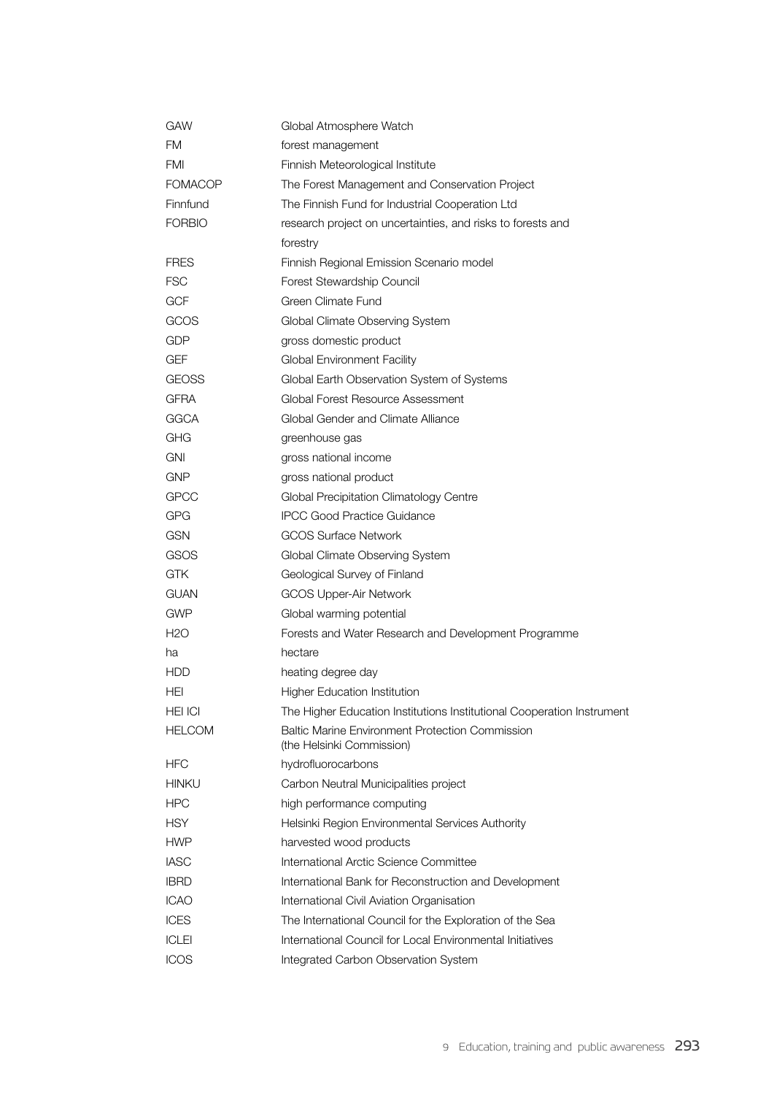| GAW              | Global Atmosphere Watch                                                      |
|------------------|------------------------------------------------------------------------------|
| FM               | forest management                                                            |
| FMI              | Finnish Meteorological Institute                                             |
| <b>FOMACOP</b>   | The Forest Management and Conservation Project                               |
| Finnfund         | The Finnish Fund for Industrial Cooperation Ltd                              |
| <b>FORBIO</b>    | research project on uncertainties, and risks to forests and                  |
|                  | forestry                                                                     |
| <b>FRES</b>      | Finnish Regional Emission Scenario model                                     |
| <b>FSC</b>       | Forest Stewardship Council                                                   |
| <b>GCF</b>       | Green Climate Fund                                                           |
| GCOS             | Global Climate Observing System                                              |
| GDP              | gross domestic product                                                       |
| GEF              | Global Environment Facility                                                  |
| <b>GEOSS</b>     | Global Earth Observation System of Systems                                   |
| GFRA             | Global Forest Resource Assessment                                            |
| <b>GGCA</b>      | Global Gender and Climate Alliance                                           |
| GHG              | greenhouse gas                                                               |
| <b>GNI</b>       | gross national income                                                        |
| <b>GNP</b>       | gross national product                                                       |
| <b>GPCC</b>      | Global Precipitation Climatology Centre                                      |
| <b>GPG</b>       | <b>IPCC Good Practice Guidance</b>                                           |
| <b>GSN</b>       | <b>GCOS Surface Network</b>                                                  |
| <b>GSOS</b>      | Global Climate Observing System                                              |
| <b>GTK</b>       | Geological Survey of Finland                                                 |
| GUAN             | GCOS Upper-Air Network                                                       |
| <b>GWP</b>       | Global warming potential                                                     |
| H <sub>2</sub> O | Forests and Water Research and Development Programme                         |
| ha               | hectare                                                                      |
| <b>HDD</b>       | heating degree day                                                           |
| HEI              | <b>Higher Education Institution</b>                                          |
| HEI ICI          | The Higher Education Institutions Institutional Cooperation Instrument       |
| <b>HELCOM</b>    | Baltic Marine Environment Protection Commission<br>(the Helsinki Commission) |
| <b>HFC</b>       | hydrofluorocarbons                                                           |
| <b>HINKU</b>     | Carbon Neutral Municipalities project                                        |
| <b>HPC</b>       | high performance computing                                                   |
| <b>HSY</b>       | Helsinki Region Environmental Services Authority                             |
| <b>HWP</b>       | harvested wood products                                                      |
| <b>IASC</b>      | International Arctic Science Committee                                       |
| <b>IBRD</b>      | International Bank for Reconstruction and Development                        |
| <b>ICAO</b>      | International Civil Aviation Organisation                                    |
| <b>ICES</b>      | The International Council for the Exploration of the Sea                     |
| <b>ICLEI</b>     | International Council for Local Environmental Initiatives                    |
| <b>ICOS</b>      | Integrated Carbon Observation System                                         |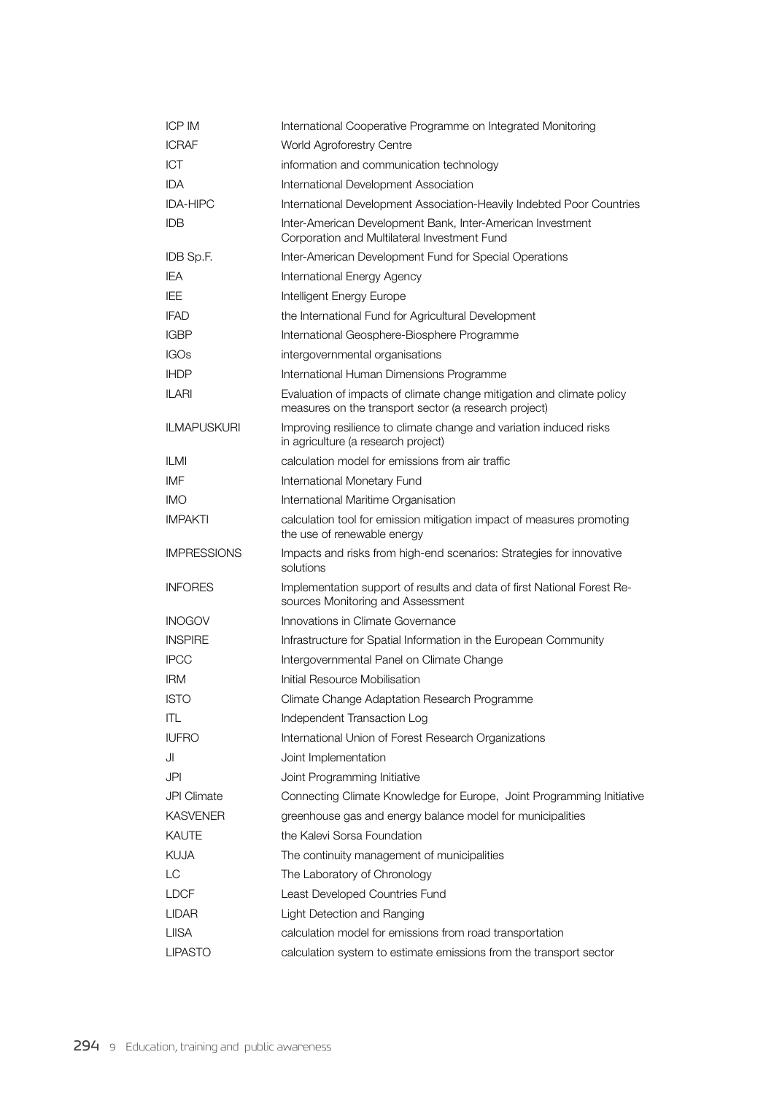| <b>ICP IM</b>      | International Cooperative Programme on Integrated Monitoring                                                                   |
|--------------------|--------------------------------------------------------------------------------------------------------------------------------|
| <b>ICRAF</b>       | World Agroforestry Centre                                                                                                      |
| ICT                | information and communication technology                                                                                       |
| <b>IDA</b>         | International Development Association                                                                                          |
| <b>IDA-HIPC</b>    | International Development Association-Heavily Indebted Poor Countries                                                          |
| <b>IDB</b>         | Inter-American Development Bank, Inter-American Investment<br>Corporation and Multilateral Investment Fund                     |
| IDB Sp.F.          | Inter-American Development Fund for Special Operations                                                                         |
| <b>IEA</b>         | International Energy Agency                                                                                                    |
| IEE                | Intelligent Energy Europe                                                                                                      |
| <b>IFAD</b>        | the International Fund for Agricultural Development                                                                            |
| <b>IGBP</b>        | International Geosphere-Biosphere Programme                                                                                    |
| <b>IGOs</b>        | intergovernmental organisations                                                                                                |
| <b>IHDP</b>        | International Human Dimensions Programme                                                                                       |
| <b>ILARI</b>       | Evaluation of impacts of climate change mitigation and climate policy<br>measures on the transport sector (a research project) |
| <b>ILMAPUSKURI</b> | Improving resilience to climate change and variation induced risks<br>in agriculture (a research project)                      |
| <b>ILMI</b>        | calculation model for emissions from air traffic                                                                               |
| IMF                | International Monetary Fund                                                                                                    |
| <b>IMO</b>         | International Maritime Organisation                                                                                            |
| <b>IMPAKTI</b>     | calculation tool for emission mitigation impact of measures promoting<br>the use of renewable energy                           |
| <b>IMPRESSIONS</b> | Impacts and risks from high-end scenarios: Strategies for innovative<br>solutions                                              |
| <b>INFORES</b>     | Implementation support of results and data of first National Forest Re-<br>sources Monitoring and Assessment                   |
| <b>INOGOV</b>      | Innovations in Climate Governance                                                                                              |
| <b>INSPIRE</b>     | Infrastructure for Spatial Information in the European Community                                                               |
| <b>IPCC</b>        | Intergovernmental Panel on Climate Change                                                                                      |
| <b>IRM</b>         | Initial Resource Mobilisation                                                                                                  |
| <b>ISTO</b>        | Climate Change Adaptation Research Programme                                                                                   |
| ITL                | Independent Transaction Log                                                                                                    |
| <b>IUFRO</b>       | International Union of Forest Research Organizations                                                                           |
| JI                 | Joint Implementation                                                                                                           |
| JPI                | Joint Programming Initiative                                                                                                   |
| <b>JPI Climate</b> | Connecting Climate Knowledge for Europe, Joint Programming Initiative                                                          |
| <b>KASVENER</b>    | greenhouse gas and energy balance model for municipalities                                                                     |
| <b>KAUTE</b>       | the Kalevi Sorsa Foundation                                                                                                    |
| <b>KUJA</b>        | The continuity management of municipalities                                                                                    |
| LC                 | The Laboratory of Chronology                                                                                                   |
| <b>LDCF</b>        | Least Developed Countries Fund                                                                                                 |
| LIDAR              | Light Detection and Ranging                                                                                                    |
| <b>LIISA</b>       | calculation model for emissions from road transportation                                                                       |
| <b>LIPASTO</b>     | calculation system to estimate emissions from the transport sector                                                             |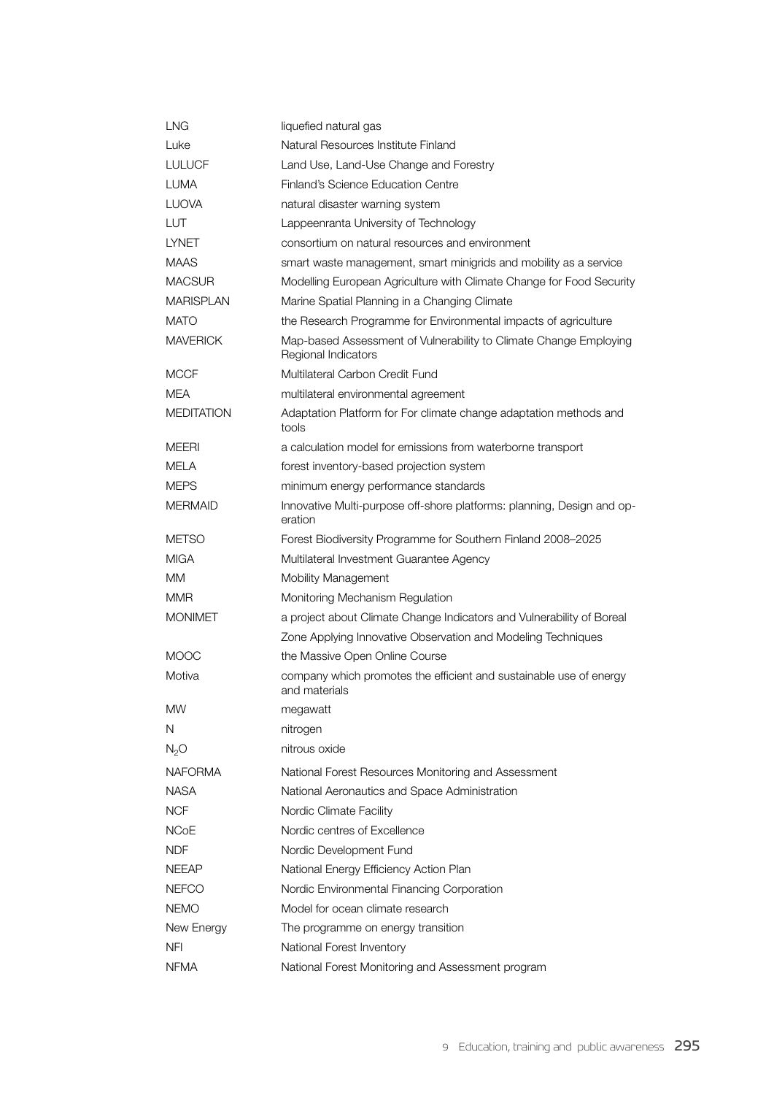| LNG               | liquefied natural gas                                                                    |
|-------------------|------------------------------------------------------------------------------------------|
| Luke              | Natural Resources Institute Finland                                                      |
| <b>LULUCF</b>     | Land Use, Land-Use Change and Forestry                                                   |
| <b>LUMA</b>       | Finland's Science Education Centre                                                       |
| <b>LUOVA</b>      | natural disaster warning system                                                          |
| LUT               | Lappeenranta University of Technology                                                    |
| <b>LYNET</b>      | consortium on natural resources and environment                                          |
| <b>MAAS</b>       | smart waste management, smart minigrids and mobility as a service                        |
| <b>MACSUR</b>     | Modelling European Agriculture with Climate Change for Food Security                     |
| <b>MARISPLAN</b>  | Marine Spatial Planning in a Changing Climate                                            |
| <b>MATO</b>       | the Research Programme for Environmental impacts of agriculture                          |
| <b>MAVERICK</b>   | Map-based Assessment of Vulnerability to Climate Change Employing<br>Regional Indicators |
| <b>MCCF</b>       | Multilateral Carbon Credit Fund                                                          |
| MEA               | multilateral environmental agreement                                                     |
| <b>MEDITATION</b> | Adaptation Platform for For climate change adaptation methods and<br>tools               |
| MEERI             | a calculation model for emissions from waterborne transport                              |
| MELA              | forest inventory-based projection system                                                 |
| <b>MEPS</b>       | minimum energy performance standards                                                     |
| <b>MERMAID</b>    | Innovative Multi-purpose off-shore platforms: planning, Design and op-<br>eration        |
| <b>METSO</b>      | Forest Biodiversity Programme for Southern Finland 2008-2025                             |
| <b>MIGA</b>       | Multilateral Investment Guarantee Agency                                                 |
| MМ                | <b>Mobility Management</b>                                                               |
| <b>MMR</b>        | Monitoring Mechanism Regulation                                                          |
| <b>MONIMET</b>    | a project about Climate Change Indicators and Vulnerability of Boreal                    |
|                   | Zone Applying Innovative Observation and Modeling Techniques                             |
| <b>MOOC</b>       | the Massive Open Online Course                                                           |
| Motiva            | company which promotes the efficient and sustainable use of energy<br>and materials      |
| ΜW                | megawatt                                                                                 |
| Ν                 | nitrogen                                                                                 |
| N <sub>2</sub> O  | nitrous oxide                                                                            |
| <b>NAFORMA</b>    | National Forest Resources Monitoring and Assessment                                      |
| <b>NASA</b>       | National Aeronautics and Space Administration                                            |
| <b>NCF</b>        | Nordic Climate Facility                                                                  |
| <b>NCoE</b>       | Nordic centres of Excellence                                                             |
| NDF               | Nordic Development Fund                                                                  |
| <b>NEEAP</b>      | National Energy Efficiency Action Plan                                                   |
| <b>NEFCO</b>      | Nordic Environmental Financing Corporation                                               |
| <b>NEMO</b>       | Model for ocean climate research                                                         |
| New Energy        | The programme on energy transition                                                       |
| NFI               | National Forest Inventory                                                                |
| NFMA              | National Forest Monitoring and Assessment program                                        |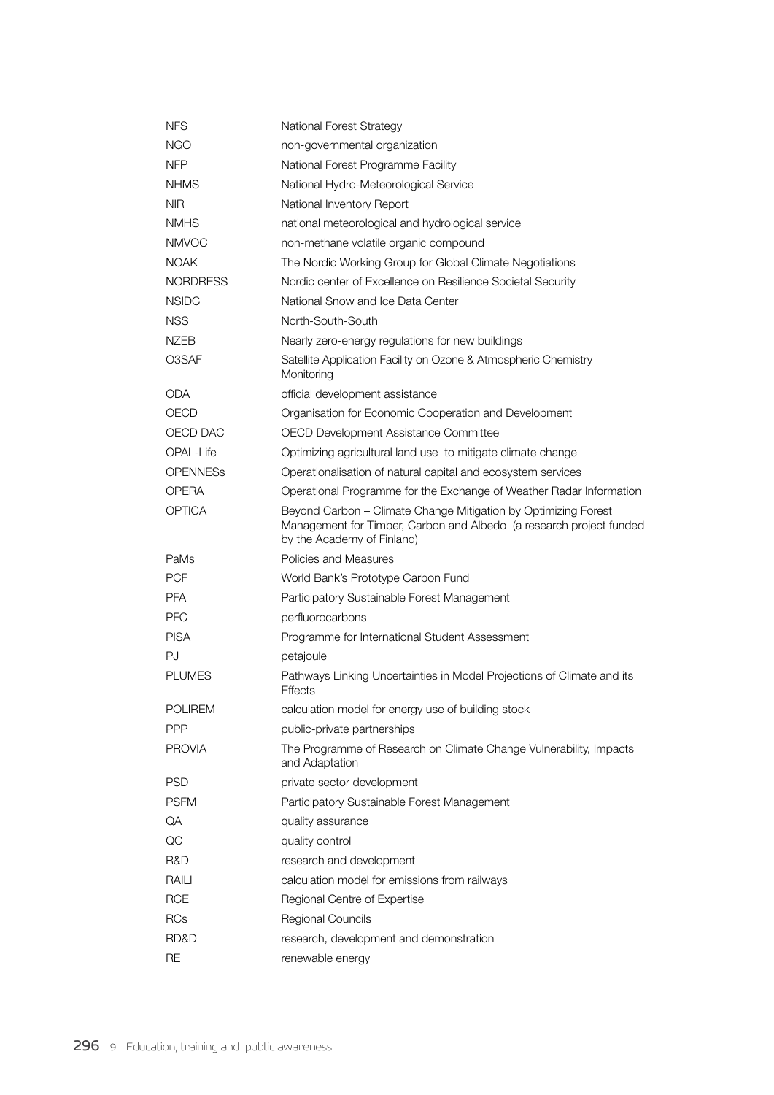| <b>NFS</b>      | <b>National Forest Strategy</b>                                                                                                                                     |
|-----------------|---------------------------------------------------------------------------------------------------------------------------------------------------------------------|
| NGO             | non-governmental organization                                                                                                                                       |
| <b>NFP</b>      | National Forest Programme Facility                                                                                                                                  |
| <b>NHMS</b>     | National Hydro-Meteorological Service                                                                                                                               |
| <b>NIR</b>      | National Inventory Report                                                                                                                                           |
| <b>NMHS</b>     | national meteorological and hydrological service                                                                                                                    |
| <b>NMVOC</b>    | non-methane volatile organic compound                                                                                                                               |
| <b>NOAK</b>     | The Nordic Working Group for Global Climate Negotiations                                                                                                            |
| <b>NORDRESS</b> | Nordic center of Excellence on Resilience Societal Security                                                                                                         |
| <b>NSIDC</b>    | National Snow and Ice Data Center                                                                                                                                   |
| <b>NSS</b>      | North-South-South                                                                                                                                                   |
| <b>NZEB</b>     | Nearly zero-energy regulations for new buildings                                                                                                                    |
| O3SAF           | Satellite Application Facility on Ozone & Atmospheric Chemistry<br>Monitoring                                                                                       |
| ODA             | official development assistance                                                                                                                                     |
| OECD            | Organisation for Economic Cooperation and Development                                                                                                               |
| OECD DAC        | OECD Development Assistance Committee                                                                                                                               |
| OPAL-Life       | Optimizing agricultural land use to mitigate climate change                                                                                                         |
| <b>OPENNESS</b> | Operationalisation of natural capital and ecosystem services                                                                                                        |
| OPERA           | Operational Programme for the Exchange of Weather Radar Information                                                                                                 |
| OPTICA          | Beyond Carbon - Climate Change Mitigation by Optimizing Forest<br>Management for Timber, Carbon and Albedo (a research project funded<br>by the Academy of Finland) |
| PaMs            | Policies and Measures                                                                                                                                               |
| <b>PCF</b>      | World Bank's Prototype Carbon Fund                                                                                                                                  |
| <b>PFA</b>      | Participatory Sustainable Forest Management                                                                                                                         |
| <b>PFC</b>      | perfluorocarbons                                                                                                                                                    |
| <b>PISA</b>     | Programme for International Student Assessment                                                                                                                      |
| PJ              | petajoule                                                                                                                                                           |
| <b>PLUMES</b>   | Pathways Linking Uncertainties in Model Projections of Climate and its<br><b>Effects</b>                                                                            |
| <b>POLIREM</b>  | calculation model for energy use of building stock                                                                                                                  |
| <b>PPP</b>      | public-private partnerships                                                                                                                                         |
| <b>PROVIA</b>   | The Programme of Research on Climate Change Vulnerability, Impacts<br>and Adaptation                                                                                |
| <b>PSD</b>      | private sector development                                                                                                                                          |
| <b>PSFM</b>     | Participatory Sustainable Forest Management                                                                                                                         |
| QA              | quality assurance                                                                                                                                                   |
| $\rm QC$        | quality control                                                                                                                                                     |
| R&D             | research and development                                                                                                                                            |
| RAILI           | calculation model for emissions from railways                                                                                                                       |
| <b>RCE</b>      | Regional Centre of Expertise                                                                                                                                        |
| <b>RCs</b>      | Regional Councils                                                                                                                                                   |
| RD&D            |                                                                                                                                                                     |
|                 | research, development and demonstration                                                                                                                             |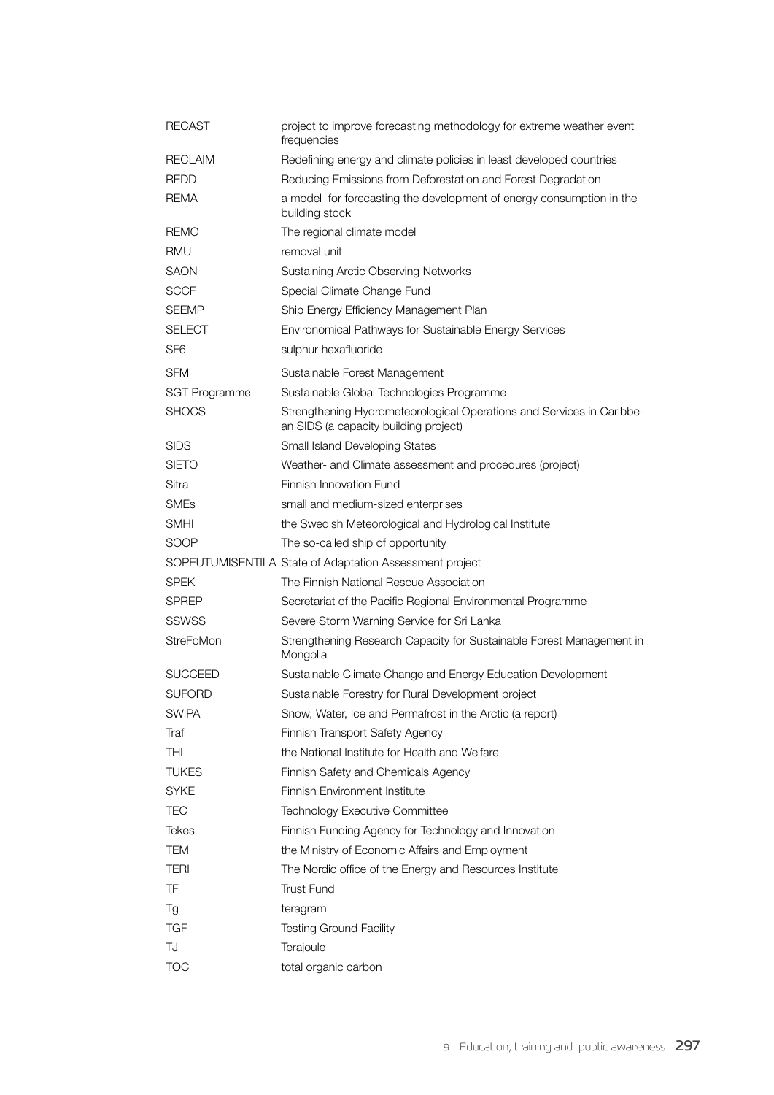| RECAST               | project to improve forecasting methodology for extreme weather event<br>frequencies                            |
|----------------------|----------------------------------------------------------------------------------------------------------------|
| <b>RECLAIM</b>       | Redefining energy and climate policies in least developed countries                                            |
| <b>REDD</b>          | Reducing Emissions from Deforestation and Forest Degradation                                                   |
| REMA                 | a model for forecasting the development of energy consumption in the<br>building stock                         |
| <b>REMO</b>          | The regional climate model                                                                                     |
| RMU                  | removal unit                                                                                                   |
| SAON                 | Sustaining Arctic Observing Networks                                                                           |
| <b>SCCF</b>          | Special Climate Change Fund                                                                                    |
| <b>SEEMP</b>         | Ship Energy Efficiency Management Plan                                                                         |
| SELECT               | Environomical Pathways for Sustainable Energy Services                                                         |
| SF <sub>6</sub>      | sulphur hexafluoride                                                                                           |
| <b>SFM</b>           | Sustainable Forest Management                                                                                  |
| <b>SGT Programme</b> | Sustainable Global Technologies Programme                                                                      |
| <b>SHOCS</b>         | Strengthening Hydrometeorological Operations and Services in Caribbe-<br>an SIDS (a capacity building project) |
| <b>SIDS</b>          | Small Island Developing States                                                                                 |
| <b>SIETO</b>         | Weather- and Climate assessment and procedures (project)                                                       |
| Sitra                | Finnish Innovation Fund                                                                                        |
| <b>SMEs</b>          | small and medium-sized enterprises                                                                             |
| SMHI                 | the Swedish Meteorological and Hydrological Institute                                                          |
| SOOP                 | The so-called ship of opportunity                                                                              |
|                      | SOPEUTUMISENTILA State of Adaptation Assessment project                                                        |
| SPEK                 | The Finnish National Rescue Association                                                                        |
| <b>SPREP</b>         | Secretariat of the Pacific Regional Environmental Programme                                                    |
| <b>SSWSS</b>         | Severe Storm Warning Service for Sri Lanka                                                                     |
| StreFoMon            | Strengthening Research Capacity for Sustainable Forest Management in<br>Mongolia                               |
| SUCCEED              | Sustainable Climate Change and Energy Education Development                                                    |
| <b>SUFORD</b>        | Sustainable Forestry for Rural Development project                                                             |
| <b>SWIPA</b>         | Snow, Water, Ice and Permafrost in the Arctic (a report)                                                       |
| Trafi                | Finnish Transport Safety Agency                                                                                |
| <b>THL</b>           | the National Institute for Health and Welfare                                                                  |
| <b>TUKES</b>         | Finnish Safety and Chemicals Agency                                                                            |
| <b>SYKE</b>          | Finnish Environment Institute                                                                                  |
| <b>TEC</b>           | Technology Executive Committee                                                                                 |
| <b>Tekes</b>         | Finnish Funding Agency for Technology and Innovation                                                           |
| TEM                  | the Ministry of Economic Affairs and Employment                                                                |
| <b>TERI</b>          | The Nordic office of the Energy and Resources Institute                                                        |
| TF                   | <b>Trust Fund</b>                                                                                              |
| Tg                   | teragram                                                                                                       |
| <b>TGF</b>           | <b>Testing Ground Facility</b>                                                                                 |
| TJ                   | Terajoule                                                                                                      |
| <b>TOC</b>           | total organic carbon                                                                                           |